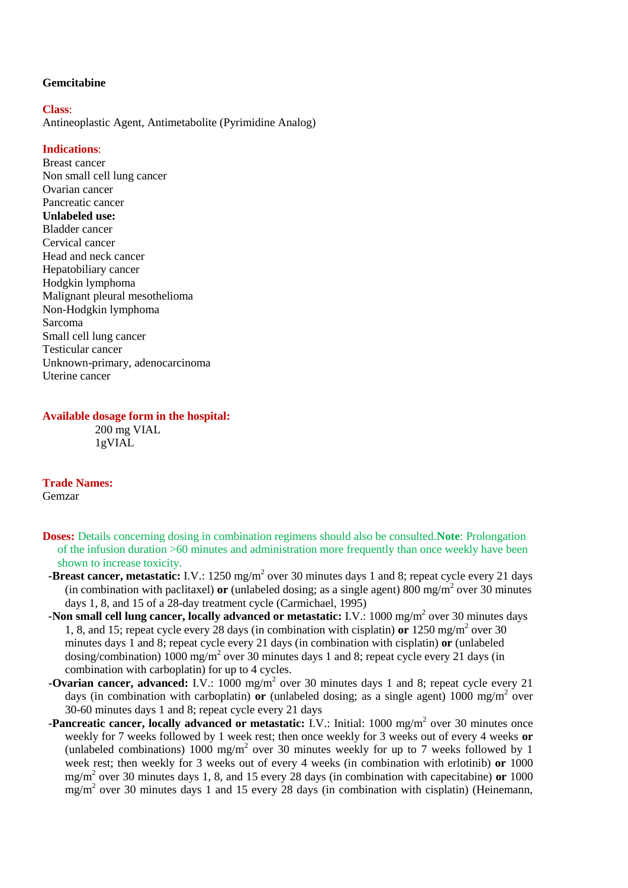### **Gemcitabine**

#### **Class**:

Antineoplastic Agent, Antimetabolite (Pyrimidine Analog)

### **Indications**:

Breast cancer Non small cell lung cancer Ovarian cancer Pancreatic cancer **Unlabeled use:** Bladder cancer Cervical cancer Head and neck cancer Hepatobiliary cancer Hodgkin lymphoma Malignant pleural mesothelioma Non-Hodgkin lymphoma Sarcoma Small cell lung cancer Testicular cancer Unknown-primary, adenocarcinoma Uterine cancer

#### **Available dosage form in the hospital:**

200 mg VIAL 1gVIAL

## **Trade Names:**

Gemzar

- **Doses:** Details concerning dosing in combination regimens should also be consulted.**Note**: Prolongation of the infusion duration >60 minutes and administration more frequently than once weekly have been shown to increase toxicity.
- **-Breast cancer, metastatic:** I.V.: 1250 mg/m<sup>2</sup> over 30 minutes days 1 and 8; repeat cycle every 21 days (in combination with paclitaxel) **or** (unlabeled dosing; as a single agent)  $800 \text{ mg/m}^2$  over 30 minutes days 1, 8, and 15 of a 28-day treatment cycle (Carmichael, 1995)
- **-Non small cell lung cancer, locally advanced or metastatic:** I.V.: 1000 mg/m<sup>2</sup> over 30 minutes days 1, 8, and 15; repeat cycle every 28 days (in combination with cisplatin) or 1250 mg/m<sup>2</sup> over 30 minutes days 1 and 8; repeat cycle every 21 days (in combination with cisplatin) **or** (unlabeled dosing/combination) 1000 mg/m<sup>2</sup> over 30 minutes days 1 and 8; repeat cycle every 21 days (in combination with carboplatin) for up to 4 cycles.
- **-Ovarian cancer, advanced:** I.V.: 1000 mg/m<sup>2</sup> over 30 minutes days 1 and 8; repeat cycle every 21 days (in combination with carboplatin) **or** (unlabeled dosing; as a single agent)  $1000 \text{ mg/m}^2$  over 30-60 minutes days 1 and 8; repeat cycle every 21 days
- **-Pancreatic cancer, locally advanced or metastatic:** I.V.: Initial: 1000 mg/m<sup>2</sup> over 30 minutes once weekly for 7 weeks followed by 1 week rest; then once weekly for 3 weeks out of every 4 weeks **or**  (unlabeled combinations) 1000 mg/m<sup>2</sup> over 30 minutes weekly for up to 7 weeks followed by 1 week rest; then weekly for 3 weeks out of every 4 weeks (in combination with erlotinib) **or** 1000 mg/m<sup>2</sup> over 30 minutes days 1, 8, and 15 every 28 days (in combination with capecitabine) **or** 1000  $mg/m<sup>2</sup>$  over 30 minutes days 1 and 15 every 28 days (in combination with cisplatin) (Heinemann,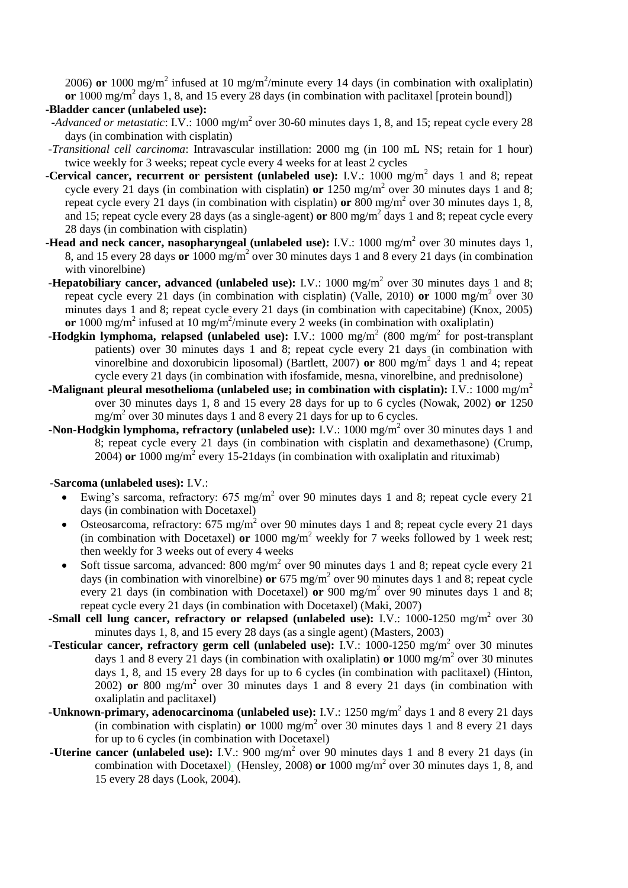2006) or 1000 mg/m<sup>2</sup> infused at 10 mg/m<sup>2</sup>/minute every 14 days (in combination with oxaliplatin) or 1000 mg/m<sup>2</sup> days 1, 8, and 15 every 28 days (in combination with paclitaxel [protein bound])

**-Bladder cancer (unlabeled use):**

- *-Advanced or metastatic*: I.V.: 1000 mg/m<sup>2</sup> over 30-60 minutes days 1, 8, and 15; repeat cycle every 28 days (in combination with cisplatin)
- *-Transitional cell carcinoma*: Intravascular instillation: 2000 mg (in 100 mL NS; retain for 1 hour) twice weekly for 3 weeks; repeat cycle every 4 weeks for at least 2 cycles
- **-Cervical cancer, recurrent or persistent (unlabeled use):** I.V.: 1000 mg/m<sup>2</sup> days 1 and 8; repeat cycle every 21 days (in combination with cisplatin) **or** 1250 mg/m<sup>2</sup> over 30 minutes days 1 and 8; repeat cycle every 21 days (in combination with cisplatin) or 800 mg/m<sup>2</sup> over 30 minutes days 1, 8, and 15; repeat cycle every 28 days (as a single-agent) **or** 800 mg/m<sup>2</sup> days 1 and 8; repeat cycle every 28 days (in combination with cisplatin)
- **-Head and neck cancer, nasopharyngeal (unlabeled use):** I.V.: 1000 mg/m<sup>2</sup> over 30 minutes days 1, 8, and 15 every 28 days **or** 1000 mg/m<sup>2</sup> over 30 minutes days 1 and 8 every 21 days (in combination with vinorelbine)
- **-Hepatobiliary cancer, advanced (unlabeled use):** I.V.: 1000 mg/m<sup>2</sup> over 30 minutes days 1 and 8; repeat cycle every 21 days (in combination with cisplatin) (Valle, 2010) or 1000 mg/m<sup>2</sup> over 30 minutes days 1 and 8; repeat cycle every 21 days (in combination with capecitabine) (Knox, 2005) or 1000 mg/m<sup>2</sup> infused at 10 mg/m<sup>2</sup>/minute every 2 weeks (in combination with oxaliplatin)
- **-Hodgkin lymphoma, relapsed (unlabeled use):** I.V.: 1000 mg/m<sup>2</sup> (800 mg/m<sup>2</sup> for post-transplant patients) over 30 minutes days 1 and 8; repeat cycle every 21 days (in combination with vinorelbine and doxorubicin liposomal) (Bartlett, 2007) **or** 800 mg/m<sup>2</sup> days 1 and 4; repeat cycle every 21 days (in combination with ifosfamide, mesna, vinorelbine, and prednisolone)
- **-Malignant pleural mesothelioma (unlabeled use; in combination with cisplatin):** I.V.: 1000 mg/m<sup>2</sup> over 30 minutes days 1, 8 and 15 every 28 days for up to 6 cycles (Nowak, 2002) **or** 1250 mg/m<sup>2</sup> over 30 minutes days 1 and 8 every 21 days for up to 6 cycles.
- **-Non-Hodgkin lymphoma, refractory (unlabeled use):** I.V.: 1000 mg/m<sup>2</sup> over 30 minutes days 1 and 8; repeat cycle every 21 days (in combination with cisplatin and dexamethasone) (Crump,  $2004$ ) or  $1000 \text{ mg/m}^2$  every 15-21 days (in combination with oxaliplatin and rituximab)

### **-Sarcoma (unlabeled uses):** I.V.:

- Ewing's sarcoma, refractory:  $675 \text{ mg/m}^2$  over 90 minutes days 1 and 8; repeat cycle every 21 days (in combination with Docetaxel)
- Osteosarcoma, refractory: 675 mg/m<sup>2</sup> over 90 minutes days 1 and 8; repeat cycle every 21 days (in combination with Docetaxel) **or** 1000 mg/m<sup>2</sup> weekly for 7 weeks followed by 1 week rest; then weekly for 3 weeks out of every 4 weeks
- Soft tissue sarcoma, advanced: 800 mg/m<sup>2</sup> over 90 minutes days 1 and 8; repeat cycle every 21 days (in combination with vinorelbine) or  $675 \text{ mg/m}^2$  over 90 minutes days 1 and 8; repeat cycle every 21 days (in combination with Docetaxel) or 900 mg/m<sup>2</sup> over 90 minutes days 1 and 8; repeat cycle every 21 days (in combination with Docetaxel) (Maki, 2007)
- -Small cell lung cancer, refractory or relapsed (unlabeled use): I.V.: 1000-1250 mg/m<sup>2</sup> over 30 minutes days 1, 8, and 15 every 28 days (as a single agent) (Masters, 2003)
- **-Testicular cancer, refractory germ cell (unlabeled use):** I.V.: 1000-1250 mg/m<sup>2</sup> over 30 minutes days 1 and 8 every 21 days (in combination with oxaliplatin) or 1000 mg/m<sup>2</sup> over 30 minutes days 1, 8, and 15 every 28 days for up to 6 cycles (in combination with paclitaxel) (Hinton, 2002) **or** 800 mg/m<sup>2</sup> over 30 minutes days 1 and 8 every 21 days (in combination with oxaliplatin and paclitaxel)
- -Unknown-primary, adenocarcinoma (unlabeled use): I.V.: 1250 mg/m<sup>2</sup> days 1 and 8 every 21 days (in combination with cisplatin) **or** 1000 mg/m<sup>2</sup> over 30 minutes days 1 and 8 every 21 days for up to 6 cycles (in combination with Docetaxel)
	- **-Uterine cancer (unlabeled use):** I.V.: 900 mg/m<sup>2</sup> over 90 minutes days 1 and 8 every 21 days (in combination with Docetaxel) (Hensley, 2008) or 1000 mg/m<sup>2</sup> over 30 minutes days 1, 8, and 15 every 28 days (Look, 2004).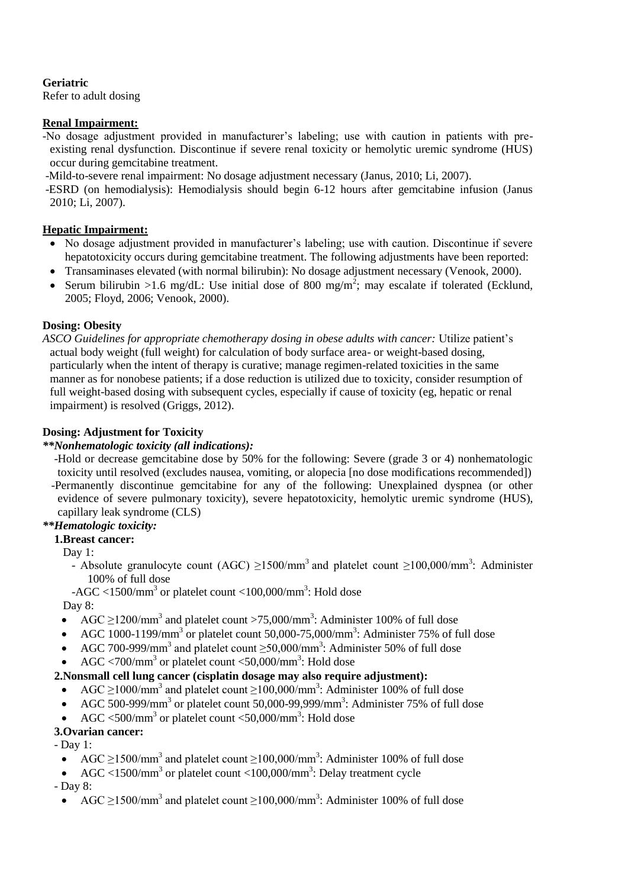## **Geriatric**

Refer to adult dosing

## **Renal Impairment:**

-No dosage adjustment provided in manufacturer's labeling; use with caution in patients with preexisting renal dysfunction. Discontinue if severe renal toxicity or hemolytic uremic syndrome (HUS) occur during gemcitabine treatment.

-Mild-to-severe renal impairment: No dosage adjustment necessary (Janus, 2010; Li, 2007).

-ESRD (on hemodialysis): Hemodialysis should begin 6-12 hours after gemcitabine infusion (Janus 2010; Li, 2007).

## **Hepatic Impairment:**

- No dosage adjustment provided in manufacturer's labeling; use with caution. Discontinue if severe hepatotoxicity occurs during gemcitabine treatment. The following adjustments have been reported:
- Transaminases elevated (with normal bilirubin): No dosage adjustment necessary (Venook, 2000).
- Serum bilirubin >1.6 mg/dL: Use initial dose of 800 mg/m<sup>2</sup>; may escalate if tolerated (Ecklund, 2005; Floyd, 2006; Venook, 2000).

## **Dosing: Obesity**

*ASCO Guidelines for appropriate chemotherapy dosing in obese adults with cancer:* Utilize patient's actual body weight (full weight) for calculation of body surface area- or weight-based dosing, particularly when the intent of therapy is curative; manage regimen-related toxicities in the same manner as for nonobese patients; if a dose reduction is utilized due to toxicity, consider resumption of full weight-based dosing with subsequent cycles, especially if cause of toxicity (eg, hepatic or renal impairment) is resolved (Griggs, 2012).

## **Dosing: Adjustment for Toxicity**

## *\*\*Nonhematologic toxicity (all indications):*

 -Hold or decrease gemcitabine dose by 50% for the following: Severe (grade 3 or 4) nonhematologic toxicity until resolved (excludes nausea, vomiting, or alopecia [no dose modifications recommended]) -Permanently discontinue gemcitabine for any of the following: Unexplained dyspnea (or other evidence of severe pulmonary toxicity), severe hepatotoxicity, hemolytic uremic syndrome (HUS), capillary leak syndrome (CLS)

#### *\*\*Hematologic toxicity:*  **1.Breast cancer:**

Day 1:

- Absolute granulocyte count (AGC)  $\geq$ 1500/mm<sup>3</sup> and platelet count  $\geq$ 100,000/mm<sup>3</sup>: Administer 100% of full dose

 $-AGC < 1500/mm^3$  or platelet count  $< 100,000/mm^3$ : Hold dose Day 8:

- AGC  $\geq$ 1200/mm<sup>3</sup> and platelet count >75,000/mm<sup>3</sup>: Administer 100% of full dose
- AGC 1000-1199/mm<sup>3</sup> or platelet count 50,000-75,000/mm<sup>3</sup>: Administer 75% of full dose
- AGC 700-999/mm<sup>3</sup> and platelet count  $\geq$ 50,000/mm<sup>3</sup>: Administer 50% of full dose
- AGC <700/mm<sup>3</sup> or platelet count <50,000/mm<sup>3</sup>: Hold dose

## **2.Nonsmall cell lung cancer (cisplatin dosage may also require adjustment):**

- AGC  $\geq$ 1000/mm<sup>3</sup> and platelet count  $\geq$ 100,000/mm<sup>3</sup>: Administer 100% of full dose
- AGC 500-999/mm<sup>3</sup> or platelet count 50,000-99,999/mm<sup>3</sup>: Administer 75% of full dose
- AGC  $\leq 500/\text{mm}^3$  or platelet count  $\leq 50,000/\text{mm}^3$ : Hold dose

# **3.Ovarian cancer:**

- Day 1:
- AGC  $\geq$ 1500/mm<sup>3</sup> and platelet count  $\geq$ 100,000/mm<sup>3</sup>: Administer 100% of full dose
- AGC <1500/mm<sup>3</sup> or platelet count <100,000/mm<sup>3</sup>: Delay treatment cycle
- Day 8:
	- AGC  $\geq$ 1500/mm<sup>3</sup> and platelet count  $\geq$ 100,000/mm<sup>3</sup>: Administer 100% of full dose